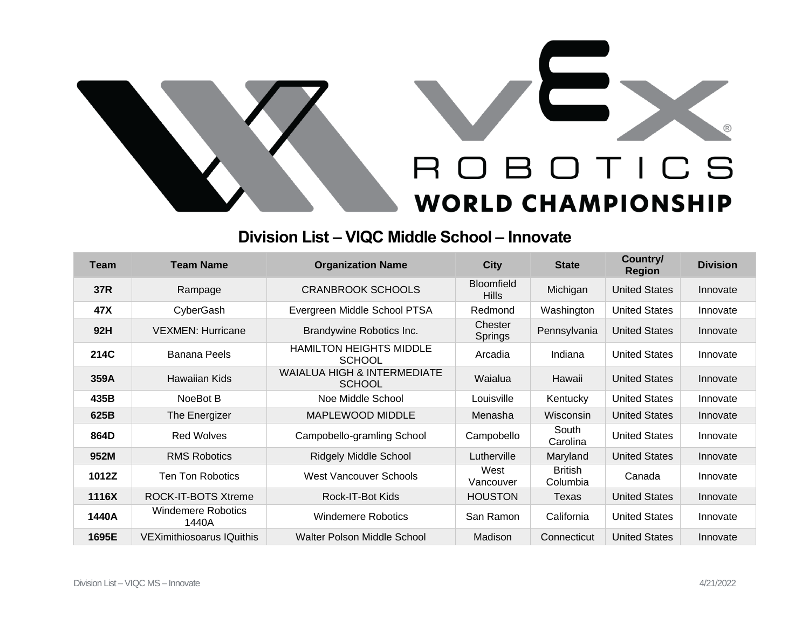

## **Division List – VIQC Middle School – Innovate**

| Team  | <b>Team Name</b>                   | <b>Organization Name</b>                                | <b>City</b>                       | <b>State</b>               | Country/<br><b>Region</b> | <b>Division</b> |
|-------|------------------------------------|---------------------------------------------------------|-----------------------------------|----------------------------|---------------------------|-----------------|
| 37R   | Rampage                            | <b>CRANBROOK SCHOOLS</b>                                | <b>Bloomfield</b><br><b>Hills</b> | Michigan                   | <b>United States</b>      | Innovate        |
| 47X   | CyberGash                          | Evergreen Middle School PTSA                            | Redmond                           | Washington                 | <b>United States</b>      | Innovate        |
| 92H   | <b>VEXMEN: Hurricane</b>           | Brandywine Robotics Inc.                                | Chester<br>Springs                | Pennsylvania               | <b>United States</b>      | Innovate        |
| 214C  | <b>Banana Peels</b>                | <b>HAMILTON HEIGHTS MIDDLE</b><br><b>SCHOOL</b>         | Arcadia                           | Indiana                    | <b>United States</b>      | Innovate        |
| 359A  | Hawaiian Kids                      | <b>WAIALUA HIGH &amp; INTERMEDIATE</b><br><b>SCHOOL</b> | Waialua                           | Hawaii                     | <b>United States</b>      | Innovate        |
| 435B  | NoeBot B                           | Noe Middle School                                       | Louisville                        | Kentucky                   | <b>United States</b>      | Innovate        |
| 625B  | The Energizer                      | MAPLEWOOD MIDDLE                                        | Menasha                           | Wisconsin                  | <b>United States</b>      | Innovate        |
| 864D  | <b>Red Wolves</b>                  | Campobello-gramling School                              | Campobello                        | South<br>Carolina          | <b>United States</b>      | Innovate        |
| 952M  | <b>RMS Robotics</b>                | <b>Ridgely Middle School</b>                            | Lutherville                       | Maryland                   | <b>United States</b>      | Innovate        |
| 1012Z | <b>Ten Ton Robotics</b>            | West Vancouver Schools                                  | West<br>Vancouver                 | <b>British</b><br>Columbia | Canada                    | Innovate        |
| 1116X | ROCK-IT-BOTS Xtreme                | Rock-IT-Bot Kids                                        | <b>HOUSTON</b>                    | Texas                      | <b>United States</b>      | Innovate        |
| 1440A | <b>Windemere Robotics</b><br>1440A | <b>Windemere Robotics</b>                               | San Ramon                         | California                 | <b>United States</b>      | Innovate        |
| 1695E | <b>VEXimithiosoarus IQuithis</b>   | Walter Polson Middle School                             | Madison                           | Connecticut                | <b>United States</b>      | Innovate        |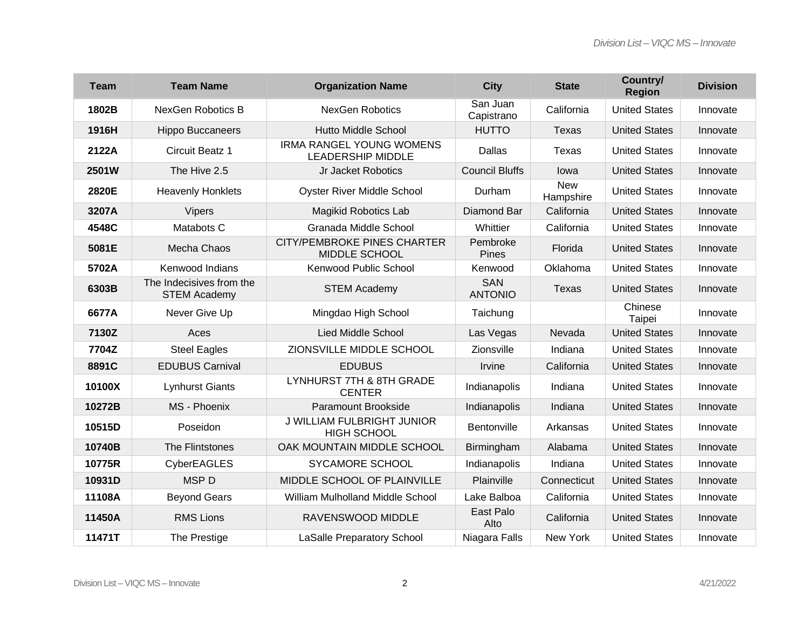| <b>Team</b> | <b>Team Name</b>                                | <b>Organization Name</b>                                    | <b>City</b>                  | <b>State</b>            | Country/<br><b>Region</b> | <b>Division</b> |
|-------------|-------------------------------------------------|-------------------------------------------------------------|------------------------------|-------------------------|---------------------------|-----------------|
| 1802B       | <b>NexGen Robotics B</b>                        | <b>NexGen Robotics</b>                                      | San Juan<br>Capistrano       | California              | <b>United States</b>      | Innovate        |
| 1916H       | <b>Hippo Buccaneers</b>                         | <b>Hutto Middle School</b>                                  | <b>HUTTO</b>                 | <b>Texas</b>            | <b>United States</b>      | Innovate        |
| 2122A       | Circuit Beatz 1                                 | <b>IRMA RANGEL YOUNG WOMENS</b><br><b>LEADERSHIP MIDDLE</b> | Dallas                       | <b>Texas</b>            | <b>United States</b>      | Innovate        |
| 2501W       | The Hive 2.5                                    | Jr Jacket Robotics                                          | <b>Council Bluffs</b>        | lowa                    | <b>United States</b>      | Innovate        |
| 2820E       | <b>Heavenly Honklets</b>                        | <b>Oyster River Middle School</b>                           | Durham                       | <b>New</b><br>Hampshire | <b>United States</b>      | Innovate        |
| 3207A       | <b>Vipers</b>                                   | <b>Magikid Robotics Lab</b>                                 | Diamond Bar                  | California              | <b>United States</b>      | Innovate        |
| 4548C       | Matabots C                                      | Granada Middle School                                       | Whittier                     | California              | <b>United States</b>      | Innovate        |
| 5081E       | Mecha Chaos                                     | <b>CITY/PEMBROKE PINES CHARTER</b><br>MIDDLE SCHOOL         | Pembroke<br><b>Pines</b>     | Florida                 | <b>United States</b>      | Innovate        |
| 5702A       | Kenwood Indians                                 | Kenwood Public School                                       | Kenwood                      | Oklahoma                | <b>United States</b>      | Innovate        |
| 6303B       | The Indecisives from the<br><b>STEM Academy</b> | <b>STEM Academy</b>                                         | <b>SAN</b><br><b>ANTONIO</b> | <b>Texas</b>            | <b>United States</b>      | Innovate        |
| 6677A       | Never Give Up                                   | Mingdao High School                                         | Taichung                     |                         | Chinese<br>Taipei         | Innovate        |
| 7130Z       | Aces                                            | <b>Lied Middle School</b>                                   | Las Vegas                    | Nevada                  | <b>United States</b>      | Innovate        |
| 7704Z       | <b>Steel Eagles</b>                             | ZIONSVILLE MIDDLE SCHOOL                                    | Zionsville                   | Indiana                 | <b>United States</b>      | Innovate        |
| 8891C       | <b>EDUBUS Carnival</b>                          | <b>EDUBUS</b>                                               | Irvine                       | California              | <b>United States</b>      | Innovate        |
| 10100X      | <b>Lynhurst Giants</b>                          | LYNHURST 7TH & 8TH GRADE<br><b>CENTER</b>                   | Indianapolis                 | Indiana                 | <b>United States</b>      | Innovate        |
| 10272B      | MS - Phoenix                                    | Paramount Brookside                                         | Indianapolis                 | Indiana                 | <b>United States</b>      | Innovate        |
| 10515D      | Poseidon                                        | <b>J WILLIAM FULBRIGHT JUNIOR</b><br><b>HIGH SCHOOL</b>     | Bentonville                  | Arkansas                | <b>United States</b>      | Innovate        |
| 10740B      | The Flintstones                                 | OAK MOUNTAIN MIDDLE SCHOOL                                  | Birmingham                   | Alabama                 | <b>United States</b>      | Innovate        |
| 10775R      | <b>CyberEAGLES</b>                              | SYCAMORE SCHOOL                                             | Indianapolis                 | Indiana                 | <b>United States</b>      | Innovate        |
| 10931D      | <b>MSPD</b>                                     | MIDDLE SCHOOL OF PLAINVILLE                                 | Plainville                   | Connecticut             | <b>United States</b>      | Innovate        |
| 11108A      | <b>Beyond Gears</b>                             | William Mulholland Middle School                            | Lake Balboa                  | California              | <b>United States</b>      | Innovate        |
| 11450A      | <b>RMS Lions</b>                                | RAVENSWOOD MIDDLE                                           | East Palo<br>Alto            | California              | <b>United States</b>      | Innovate        |
| 11471T      | The Prestige                                    | <b>LaSalle Preparatory School</b>                           | Niagara Falls                | New York                | <b>United States</b>      | Innovate        |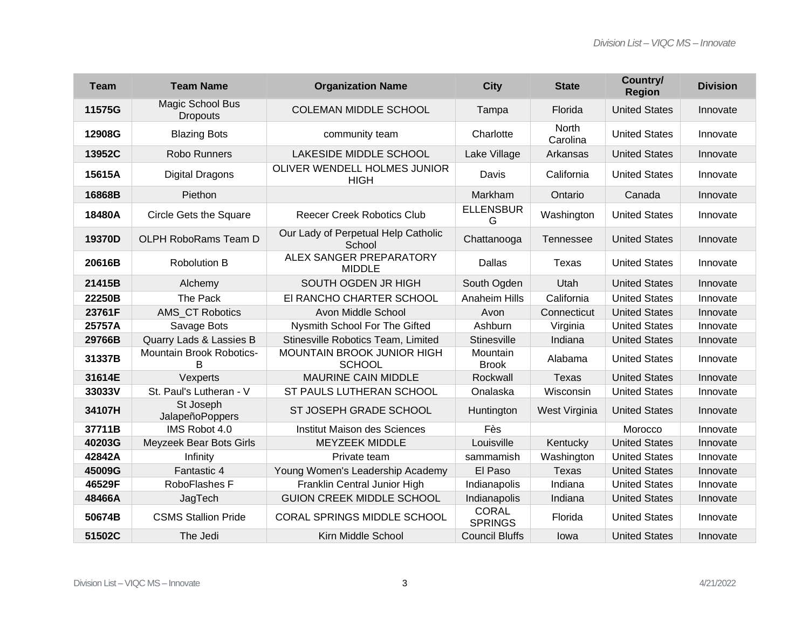| <b>Team</b> | <b>Team Name</b>                    | <b>Organization Name</b>                        | <b>City</b>                    | <b>State</b>             | Country/<br><b>Region</b> | <b>Division</b> |
|-------------|-------------------------------------|-------------------------------------------------|--------------------------------|--------------------------|---------------------------|-----------------|
| 11575G      | Magic School Bus<br><b>Dropouts</b> | <b>COLEMAN MIDDLE SCHOOL</b>                    | Tampa                          | Florida                  | <b>United States</b>      | Innovate        |
| 12908G      | <b>Blazing Bots</b>                 | community team                                  | Charlotte                      | <b>North</b><br>Carolina | <b>United States</b>      | Innovate        |
| 13952C      | <b>Robo Runners</b>                 | <b>LAKESIDE MIDDLE SCHOOL</b>                   | Lake Village                   | Arkansas                 | <b>United States</b>      | Innovate        |
| 15615A      | <b>Digital Dragons</b>              | OLIVER WENDELL HOLMES JUNIOR<br><b>HIGH</b>     | Davis                          | California               | <b>United States</b>      | Innovate        |
| 16868B      | Piethon                             |                                                 | Markham                        | Ontario                  | Canada                    | Innovate        |
| 18480A      | <b>Circle Gets the Square</b>       | <b>Reecer Creek Robotics Club</b>               | <b>ELLENSBUR</b><br>G          | Washington               | <b>United States</b>      | Innovate        |
| 19370D      | <b>OLPH RoboRams Team D</b>         | Our Lady of Perpetual Help Catholic<br>School   | Chattanooga                    | Tennessee                | <b>United States</b>      | Innovate        |
| 20616B      | <b>Robolution B</b>                 | <b>ALEX SANGER PREPARATORY</b><br><b>MIDDLE</b> | Dallas                         | Texas                    | <b>United States</b>      | Innovate        |
| 21415B      | Alchemy                             | SOUTH OGDEN JR HIGH                             | South Ogden                    | Utah                     | <b>United States</b>      | Innovate        |
| 22250B      | The Pack                            | EI RANCHO CHARTER SCHOOL                        | <b>Anaheim Hills</b>           | California               | <b>United States</b>      | Innovate        |
| 23761F      | AMS CT Robotics                     | Avon Middle School                              | Avon                           | Connecticut              | <b>United States</b>      | Innovate        |
| 25757A      | Savage Bots                         | Nysmith School For The Gifted                   | Ashburn                        | Virginia                 | <b>United States</b>      | Innovate        |
| 29766B      | Quarry Lads & Lassies B             | Stinesville Robotics Team, Limited              | <b>Stinesville</b>             | Indiana                  | <b>United States</b>      | Innovate        |
| 31337B      | Mountain Brook Robotics-<br>в       | MOUNTAIN BROOK JUNIOR HIGH<br><b>SCHOOL</b>     | Mountain<br><b>Brook</b>       | Alabama                  | <b>United States</b>      | Innovate        |
| 31614E      | Vexperts                            | <b>MAURINE CAIN MIDDLE</b>                      | Rockwall                       | <b>Texas</b>             | <b>United States</b>      | Innovate        |
| 33033V      | St. Paul's Lutheran - V             | ST PAULS LUTHERAN SCHOOL                        | Onalaska                       | Wisconsin                | <b>United States</b>      | Innovate        |
| 34107H      | St Joseph<br>JalapeñoPoppers        | ST JOSEPH GRADE SCHOOL                          | Huntington                     | West Virginia            | <b>United States</b>      | Innovate        |
| 37711B      | IMS Robot 4.0                       | Institut Maison des Sciences                    | Fès                            |                          | Morocco                   | Innovate        |
| 40203G      | Meyzeek Bear Bots Girls             | <b>MEYZEEK MIDDLE</b>                           | Louisville                     | Kentucky                 | <b>United States</b>      | Innovate        |
| 42842A      | Infinity                            | Private team                                    | sammamish                      | Washington               | <b>United States</b>      | Innovate        |
| 45009G      | Fantastic 4                         | Young Women's Leadership Academy                | El Paso                        | <b>Texas</b>             | <b>United States</b>      | Innovate        |
| 46529F      | RoboFlashes F                       | Franklin Central Junior High                    | Indianapolis                   | Indiana                  | <b>United States</b>      | Innovate        |
| 48466A      | JagTech                             | <b>GUION CREEK MIDDLE SCHOOL</b>                | Indianapolis                   | Indiana                  | <b>United States</b>      | Innovate        |
| 50674B      | <b>CSMS Stallion Pride</b>          | <b>CORAL SPRINGS MIDDLE SCHOOL</b>              | <b>CORAL</b><br><b>SPRINGS</b> | Florida                  | <b>United States</b>      | Innovate        |
| 51502C      | The Jedi                            | Kirn Middle School                              | <b>Council Bluffs</b>          | lowa                     | <b>United States</b>      | Innovate        |